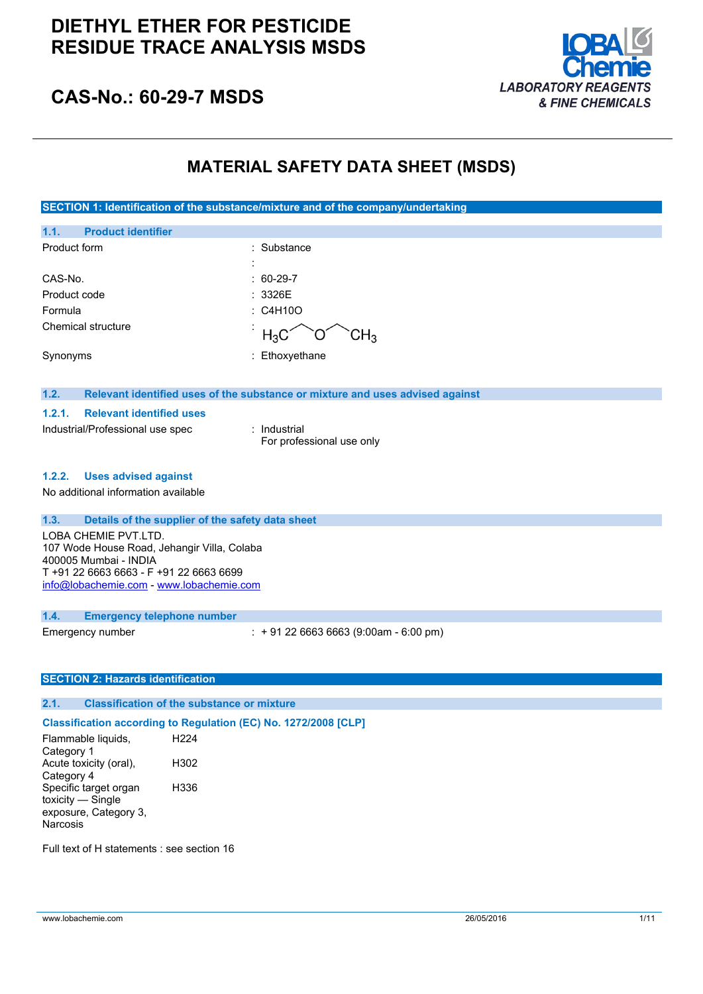### **DIETHYL ETHER FOR PESTICIDE RESIDUE TRACE ANALYSIS MSDS**



### **CAS-No.: 60-29-7 MSDS**

### **MATERIAL SAFETY DATA SHEET (MSDS)**

**SECTION 1: Identification of the substance/mixture and of the company/undertaking**

| 1.1.         | <b>Product identifier</b> |   |                                               |
|--------------|---------------------------|---|-----------------------------------------------|
| Product form |                           |   | : Substance                                   |
|              |                           | ٠ |                                               |
| CAS-No.      |                           |   | $: 60-29-7$                                   |
| Product code |                           |   | : 3326E                                       |
| Formula      |                           |   | : C4H10O                                      |
|              | Chemical structure        |   | $H_3C$<br>CH <sub>3</sub><br>$\left( \right)$ |
| Synonyms     |                           |   | : Ethoxyethane                                |

#### **1.2. Relevant identified uses of the substance or mixture and uses advised against**

#### **1.2.1. Relevant identified uses**

Industrial/Professional use spec : Industrial

For professional use only

#### **1.2.2. Uses advised against**

No additional information available

#### **1.3. Details of the supplier of the safety data sheet**

LOBA CHEMIE PVT.LTD. 107 Wode House Road, Jehangir Villa, Colaba 400005 Mumbai - INDIA T +91 22 6663 6663 - F +91 22 6663 6699 [info@lobachemie.com](mailto:info@lobachemie.com) - <www.lobachemie.com>

#### **1.4. Emergency telephone number**

Emergency number : + 91 22 6663 6663 (9:00am - 6:00 pm)

#### **SECTION 2: Hazards identification**

### **2.1. Classification of the substance or mixture**

**Classification according to Regulation (EC) No. 1272/2008 [CLP]** Flammable liquids, Category 1 H224 Acute toxicity (oral), Category 4 H302 Specific target organ toxicity — Single exposure, Category 3, Narcosis H336

Full text of H statements : see section 16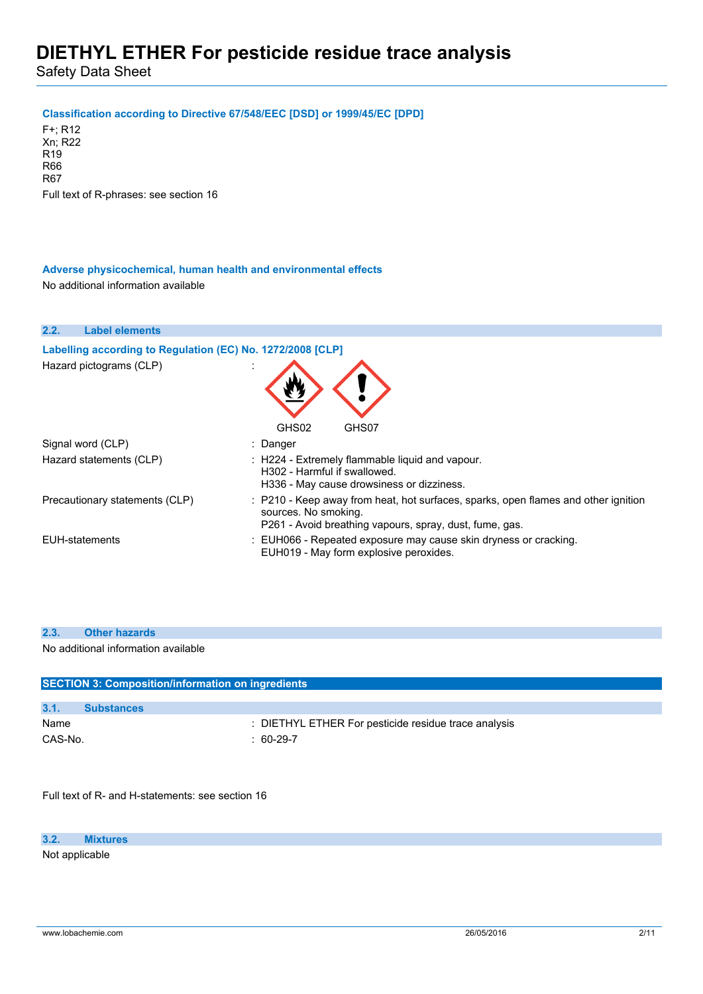Safety Data Sheet

#### **Classification according to Directive 67/548/EEC [DSD] or 1999/45/EC [DPD]**

F+; R12 Xn; R22 R19 R66 R67 Full text of R-phrases: see section 16

#### **Adverse physicochemical, human health and environmental effects** No additional information available

| 2.2.                  | <b>Label elements</b>                                                                 |                                                                                                                                                                       |
|-----------------------|---------------------------------------------------------------------------------------|-----------------------------------------------------------------------------------------------------------------------------------------------------------------------|
|                       | Labelling according to Regulation (EC) No. 1272/2008 [CLP]<br>Hazard pictograms (CLP) | GHS02<br>GHS07                                                                                                                                                        |
|                       | Signal word (CLP)                                                                     | : Danger                                                                                                                                                              |
|                       | Hazard statements (CLP)                                                               | : H224 - Extremely flammable liquid and vapour.<br>H302 - Harmful if swallowed.<br>H336 - May cause drowsiness or dizziness.                                          |
|                       | Precautionary statements (CLP)                                                        | : P210 - Keep away from heat, hot surfaces, sparks, open flames and other ignition<br>sources. No smoking.<br>P261 - Avoid breathing vapours, spray, dust, fume, gas. |
| <b>EUH-statements</b> |                                                                                       | : EUH066 - Repeated exposure may cause skin dryness or cracking.<br>EUH019 - May form explosive peroxides.                                                            |

#### **2.3. Other hazards**

No additional information available

| <b>SECTION 3: Composition/information on ingredients</b> |                                                      |  |  |
|----------------------------------------------------------|------------------------------------------------------|--|--|
|                                                          |                                                      |  |  |
| 3.1.                                                     | <b>Substances</b>                                    |  |  |
| Name                                                     | : DIETHYL ETHER For pesticide residue trace analysis |  |  |
| CAS-No.                                                  | : $60-29-7$                                          |  |  |

Full text of R- and H-statements: see section 16

**3.2. Mixtures**

Not applicable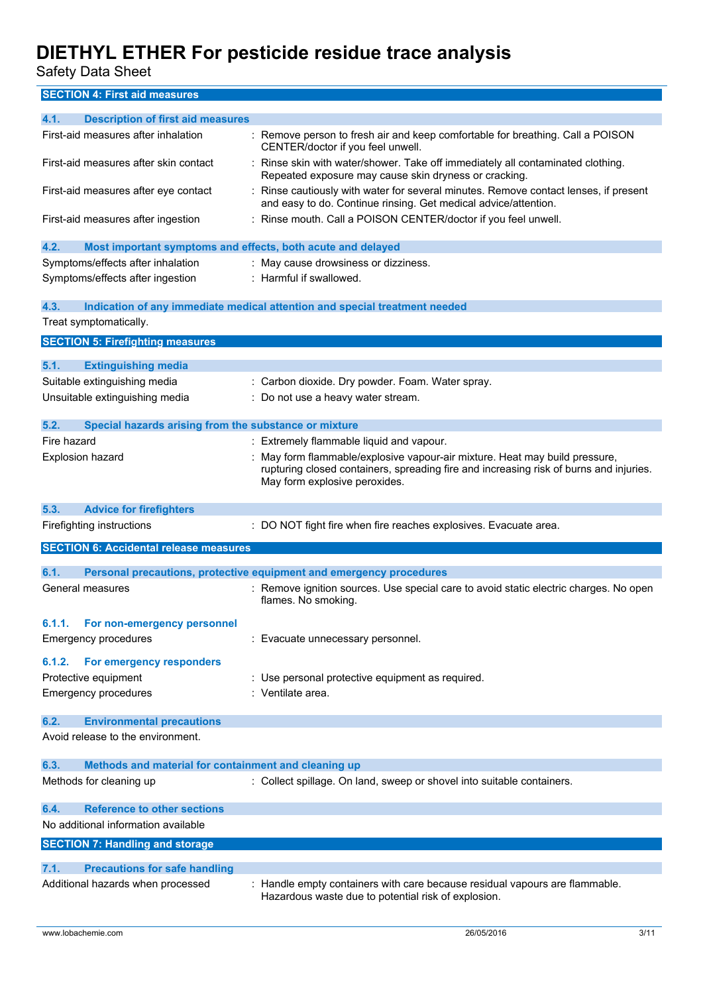Safety Data Sheet

**SECTION 4: First aid measures**

| 4.1.<br><b>Description of first aid measures</b>                    |                                                                                                                                                                                                      |
|---------------------------------------------------------------------|------------------------------------------------------------------------------------------------------------------------------------------------------------------------------------------------------|
| First-aid measures after inhalation                                 | : Remove person to fresh air and keep comfortable for breathing. Call a POISON<br>CENTER/doctor if you feel unwell.                                                                                  |
| First-aid measures after skin contact                               | Rinse skin with water/shower. Take off immediately all contaminated clothing.<br>Repeated exposure may cause skin dryness or cracking.                                                               |
| First-aid measures after eye contact                                | Rinse cautiously with water for several minutes. Remove contact lenses, if present<br>and easy to do. Continue rinsing. Get medical advice/attention.                                                |
| First-aid measures after ingestion                                  | : Rinse mouth. Call a POISON CENTER/doctor if you feel unwell.                                                                                                                                       |
| 4.2.<br>Most important symptoms and effects, both acute and delayed |                                                                                                                                                                                                      |
| Symptoms/effects after inhalation                                   | : May cause drowsiness or dizziness.                                                                                                                                                                 |
| Symptoms/effects after ingestion                                    | : Harmful if swallowed.                                                                                                                                                                              |
| 4.3.                                                                | Indication of any immediate medical attention and special treatment needed                                                                                                                           |
| Treat symptomatically.                                              |                                                                                                                                                                                                      |
|                                                                     |                                                                                                                                                                                                      |
| <b>SECTION 5: Firefighting measures</b>                             |                                                                                                                                                                                                      |
| 5.1.<br><b>Extinguishing media</b>                                  |                                                                                                                                                                                                      |
| Suitable extinguishing media                                        | : Carbon dioxide. Dry powder. Foam. Water spray.                                                                                                                                                     |
| Unsuitable extinguishing media                                      | Do not use a heavy water stream.                                                                                                                                                                     |
|                                                                     |                                                                                                                                                                                                      |
| 5.2.<br>Special hazards arising from the substance or mixture       |                                                                                                                                                                                                      |
| Fire hazard                                                         | : Extremely flammable liquid and vapour.                                                                                                                                                             |
| <b>Explosion hazard</b>                                             | May form flammable/explosive vapour-air mixture. Heat may build pressure,<br>rupturing closed containers, spreading fire and increasing risk of burns and injuries.<br>May form explosive peroxides. |
| 5.3.<br><b>Advice for firefighters</b>                              |                                                                                                                                                                                                      |
| Firefighting instructions                                           | : DO NOT fight fire when fire reaches explosives. Evacuate area.                                                                                                                                     |
| <b>SECTION 6: Accidental release measures</b>                       |                                                                                                                                                                                                      |
|                                                                     |                                                                                                                                                                                                      |
| 6.1.                                                                | Personal precautions, protective equipment and emergency procedures                                                                                                                                  |
| General measures                                                    | : Remove ignition sources. Use special care to avoid static electric charges. No open<br>flames. No smoking.                                                                                         |
| 6.1.1.<br>For non-emergency personnel                               |                                                                                                                                                                                                      |
| <b>Emergency procedures</b>                                         | Evacuate unnecessary personnel.                                                                                                                                                                      |
| For emergency responders<br>6.1.2.                                  |                                                                                                                                                                                                      |
| Protective equipment                                                | : Use personal protective equipment as required.                                                                                                                                                     |
| <b>Emergency procedures</b>                                         | : Ventilate area.                                                                                                                                                                                    |
|                                                                     |                                                                                                                                                                                                      |
| 6.2.<br><b>Environmental precautions</b>                            |                                                                                                                                                                                                      |
| Avoid release to the environment.                                   |                                                                                                                                                                                                      |
| Methods and material for containment and cleaning up<br>6.3.        |                                                                                                                                                                                                      |
| Methods for cleaning up                                             | : Collect spillage. On land, sweep or shovel into suitable containers.                                                                                                                               |
| <b>Reference to other sections</b><br>6.4.                          |                                                                                                                                                                                                      |
| No additional information available                                 |                                                                                                                                                                                                      |
| <b>SECTION 7: Handling and storage</b>                              |                                                                                                                                                                                                      |
| 7.1.<br><b>Precautions for safe handling</b>                        |                                                                                                                                                                                                      |
| Additional hazards when processed                                   | Handle empty containers with care because residual vapours are flammable.                                                                                                                            |
|                                                                     | Hazardous waste due to potential risk of explosion.                                                                                                                                                  |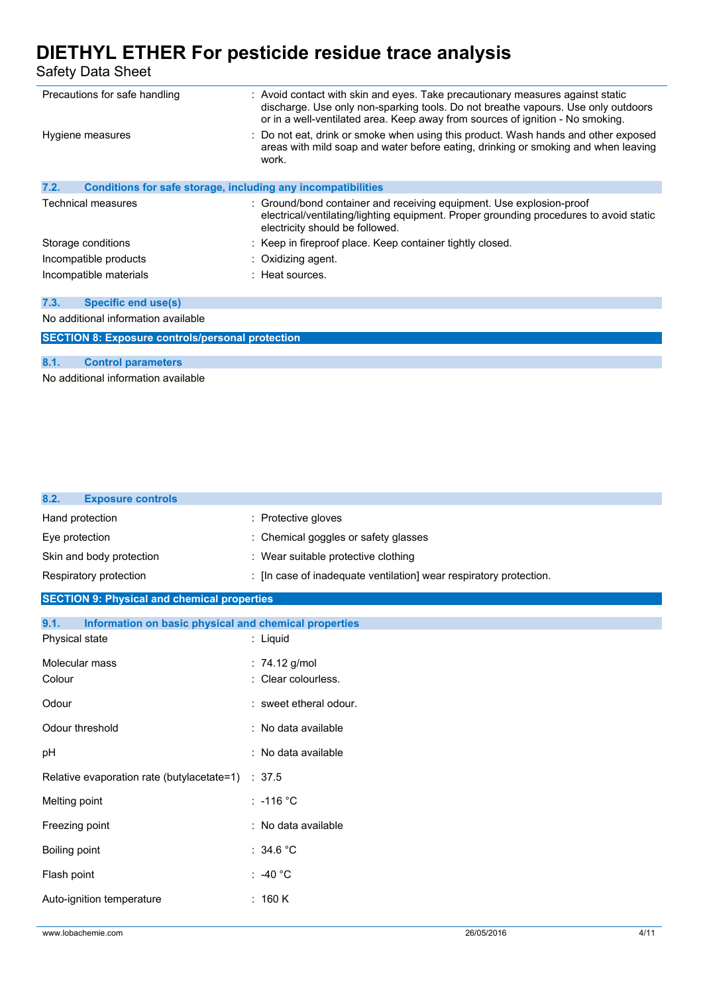Safety Data Sheet

| Precautions for safe handling                                        | : Avoid contact with skin and eyes. Take precautionary measures against static<br>discharge. Use only non-sparking tools. Do not breathe vapours. Use only outdoors<br>or in a well-ventilated area. Keep away from sources of ignition - No smoking. |  |  |
|----------------------------------------------------------------------|-------------------------------------------------------------------------------------------------------------------------------------------------------------------------------------------------------------------------------------------------------|--|--|
| Hygiene measures                                                     | : Do not eat, drink or smoke when using this product. Wash hands and other exposed<br>areas with mild soap and water before eating, drinking or smoking and when leaving<br>work.                                                                     |  |  |
| 7.2.<br>Conditions for safe storage, including any incompatibilities |                                                                                                                                                                                                                                                       |  |  |
|                                                                      |                                                                                                                                                                                                                                                       |  |  |
| Technical measures                                                   | : Ground/bond container and receiving equipment. Use explosion-proof<br>electrical/ventilating/lighting equipment. Proper grounding procedures to avoid static<br>electricity should be followed.                                                     |  |  |
| Storage conditions                                                   | : Keep in fireproof place. Keep container tightly closed.                                                                                                                                                                                             |  |  |
| Incompatible products                                                | $\therefore$ Oxidizing agent.                                                                                                                                                                                                                         |  |  |
| Incompatible materials                                               | $\pm$ Heat sources.                                                                                                                                                                                                                                   |  |  |
|                                                                      |                                                                                                                                                                                                                                                       |  |  |
| 7.3.<br>Specific end use(s)                                          |                                                                                                                                                                                                                                                       |  |  |
| No additional information available                                  |                                                                                                                                                                                                                                                       |  |  |
| <b>SECTION 8: Exposure controls/personal protection</b>              |                                                                                                                                                                                                                                                       |  |  |
|                                                                      |                                                                                                                                                                                                                                                       |  |  |
| 8.1.<br><b>Control parameters</b>                                    |                                                                                                                                                                                                                                                       |  |  |
|                                                                      |                                                                                                                                                                                                                                                       |  |  |

No additional information available

| <b>Exposure controls</b><br>8.2.                              |                                                                    |
|---------------------------------------------------------------|--------------------------------------------------------------------|
| Hand protection                                               | Protective gloves                                                  |
| Eye protection                                                | Chemical goggles or safety glasses                                 |
| Skin and body protection                                      | : Wear suitable protective clothing                                |
| Respiratory protection                                        | : [In case of inadequate ventilation] wear respiratory protection. |
| <b>SECTION 9: Physical and chemical properties</b>            |                                                                    |
| Information on basic physical and chemical properties<br>9.1. |                                                                    |
| Physical state                                                | : Liquid                                                           |
| Molecular mass                                                | : 74.12 g/mol                                                      |
| Colour                                                        | Clear colourless.                                                  |
| Odour                                                         | : sweet etheral odour.                                             |
| Odour threshold                                               | : No data available                                                |
| рH                                                            | : No data available                                                |
| Relative evaporation rate (butylacetate=1)                    | : 37.5                                                             |
| Melting point                                                 | $: -116 °C$                                                        |
| Freezing point                                                | : No data available                                                |
| Boiling point                                                 | : 34.6 °C                                                          |
| Flash point                                                   | : -40 $^{\circ}$ C                                                 |
| Auto-ignition temperature                                     | : 160 K                                                            |
|                                                               |                                                                    |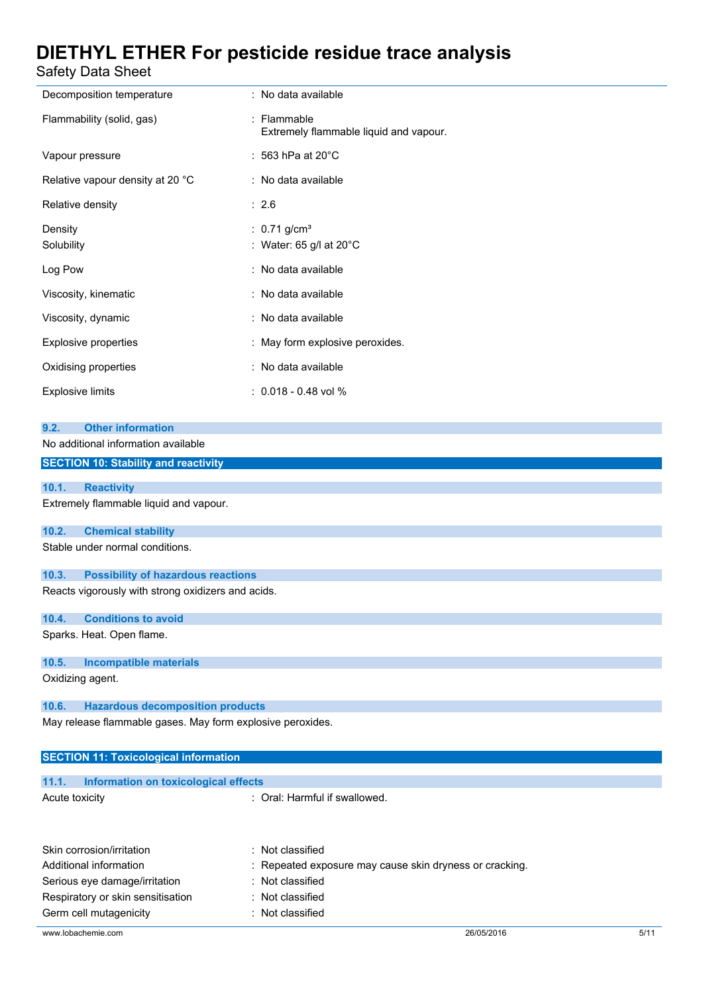Safety Data Sheet

| safety Data Sheet                                                                                                                                                                                                                                                                                                                                                                                                                                                                                                                                                                                   |                                                                                                                   |
|-----------------------------------------------------------------------------------------------------------------------------------------------------------------------------------------------------------------------------------------------------------------------------------------------------------------------------------------------------------------------------------------------------------------------------------------------------------------------------------------------------------------------------------------------------------------------------------------------------|-------------------------------------------------------------------------------------------------------------------|
| Decomposition temperature                                                                                                                                                                                                                                                                                                                                                                                                                                                                                                                                                                           | : No data available                                                                                               |
| Flammability (solid, gas)                                                                                                                                                                                                                                                                                                                                                                                                                                                                                                                                                                           | : Flammable<br>Extremely flammable liquid and vapour.                                                             |
| Vapour pressure                                                                                                                                                                                                                                                                                                                                                                                                                                                                                                                                                                                     | $: 563$ hPa at 20 $^{\circ}$ C                                                                                    |
| Relative vapour density at 20 °C                                                                                                                                                                                                                                                                                                                                                                                                                                                                                                                                                                    | : No data available                                                                                               |
| Relative density                                                                                                                                                                                                                                                                                                                                                                                                                                                                                                                                                                                    | : 2.6                                                                                                             |
| Density<br>Solubility                                                                                                                                                                                                                                                                                                                                                                                                                                                                                                                                                                               | : $0.71$ g/cm <sup>3</sup><br>: Water: 65 g/l at 20°C                                                             |
| Log Pow                                                                                                                                                                                                                                                                                                                                                                                                                                                                                                                                                                                             | : No data available                                                                                               |
| Viscosity, kinematic                                                                                                                                                                                                                                                                                                                                                                                                                                                                                                                                                                                | : No data available                                                                                               |
| Viscosity, dynamic                                                                                                                                                                                                                                                                                                                                                                                                                                                                                                                                                                                  | : No data available                                                                                               |
| <b>Explosive properties</b>                                                                                                                                                                                                                                                                                                                                                                                                                                                                                                                                                                         | : May form explosive peroxides.                                                                                   |
| Oxidising properties                                                                                                                                                                                                                                                                                                                                                                                                                                                                                                                                                                                | : No data available                                                                                               |
| <b>Explosive limits</b>                                                                                                                                                                                                                                                                                                                                                                                                                                                                                                                                                                             | $: 0.018 - 0.48$ vol %                                                                                            |
| No additional information available<br><b>SECTION 10: Stability and reactivity</b><br>10.1.<br><b>Reactivity</b><br>Extremely flammable liquid and vapour.<br>10.2.<br><b>Chemical stability</b><br>Stable under normal conditions.<br>10.3.<br><b>Possibility of hazardous reactions</b><br>Reacts vigorously with strong oxidizers and acids.<br><b>Conditions to avoid</b><br>10.4.<br>Sparks. Heat. Open flame.<br>10.5.<br><b>Incompatible materials</b><br>Oxidizing agent.<br>10.6.<br><b>Hazardous decomposition products</b><br>May release flammable gases. May form explosive peroxides. |                                                                                                                   |
| <b>SECTION 11: Toxicological information</b>                                                                                                                                                                                                                                                                                                                                                                                                                                                                                                                                                        |                                                                                                                   |
|                                                                                                                                                                                                                                                                                                                                                                                                                                                                                                                                                                                                     |                                                                                                                   |
| 11.1.<br>Information on toxicological effects<br>Acute toxicity                                                                                                                                                                                                                                                                                                                                                                                                                                                                                                                                     | : Oral: Harmful if swallowed.                                                                                     |
| Skin corrosion/irritation<br>Additional information<br>Serious eye damage/irritation<br>Respiratory or skin sensitisation                                                                                                                                                                                                                                                                                                                                                                                                                                                                           | : Not classified<br>Repeated exposure may cause skin dryness or cracking.<br>: Not classified<br>: Not classified |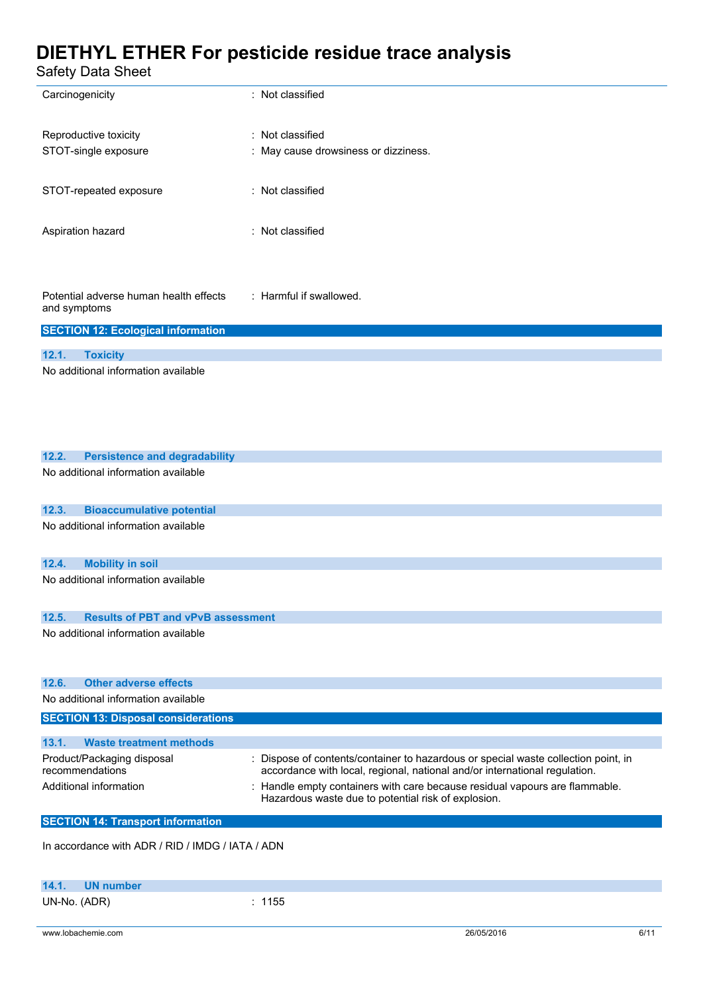| Safety Data Sheet                                      |                                                                                                                                                           |
|--------------------------------------------------------|-----------------------------------------------------------------------------------------------------------------------------------------------------------|
| Carcinogenicity                                        | : Not classified                                                                                                                                          |
| Reproductive toxicity                                  | : Not classified                                                                                                                                          |
| STOT-single exposure                                   | : May cause drowsiness or dizziness.                                                                                                                      |
| STOT-repeated exposure                                 | : Not classified                                                                                                                                          |
| Aspiration hazard                                      | : Not classified                                                                                                                                          |
| Potential adverse human health effects<br>and symptoms | : Harmful if swallowed.                                                                                                                                   |
| <b>SECTION 12: Ecological information</b>              |                                                                                                                                                           |
| 12.1.<br><b>Toxicity</b>                               |                                                                                                                                                           |
| No additional information available                    |                                                                                                                                                           |
|                                                        |                                                                                                                                                           |
|                                                        |                                                                                                                                                           |
|                                                        |                                                                                                                                                           |
| 12.2.<br><b>Persistence and degradability</b>          |                                                                                                                                                           |
| No additional information available                    |                                                                                                                                                           |
|                                                        |                                                                                                                                                           |
| 12.3.<br><b>Bioaccumulative potential</b>              |                                                                                                                                                           |
| No additional information available                    |                                                                                                                                                           |
| 12.4.<br><b>Mobility in soil</b>                       |                                                                                                                                                           |
| No additional information available                    |                                                                                                                                                           |
|                                                        |                                                                                                                                                           |
| <b>Results of PBT and vPvB assessment</b><br>12.5.     |                                                                                                                                                           |
| No additional information available                    |                                                                                                                                                           |
|                                                        |                                                                                                                                                           |
| <b>Other adverse effects</b><br>12.6.                  |                                                                                                                                                           |
| No additional information available                    |                                                                                                                                                           |
| <b>SECTION 13: Disposal considerations</b>             |                                                                                                                                                           |
| 13.1.<br><b>Waste treatment methods</b>                |                                                                                                                                                           |
| Product/Packaging disposal                             | : Dispose of contents/container to hazardous or special waste collection point, in                                                                        |
| recommendations<br>Additional information              | accordance with local, regional, national and/or international regulation.<br>: Handle empty containers with care because residual vapours are flammable. |
|                                                        | Hazardous waste due to potential risk of explosion.                                                                                                       |
| <b>SECTION 14: Transport information</b>               |                                                                                                                                                           |
| In accordance with ADR / RID / IMDG / IATA / ADN       |                                                                                                                                                           |
|                                                        |                                                                                                                                                           |
| 14.1.<br><b>UN number</b>                              |                                                                                                                                                           |

UN-No. (ADR) : 1155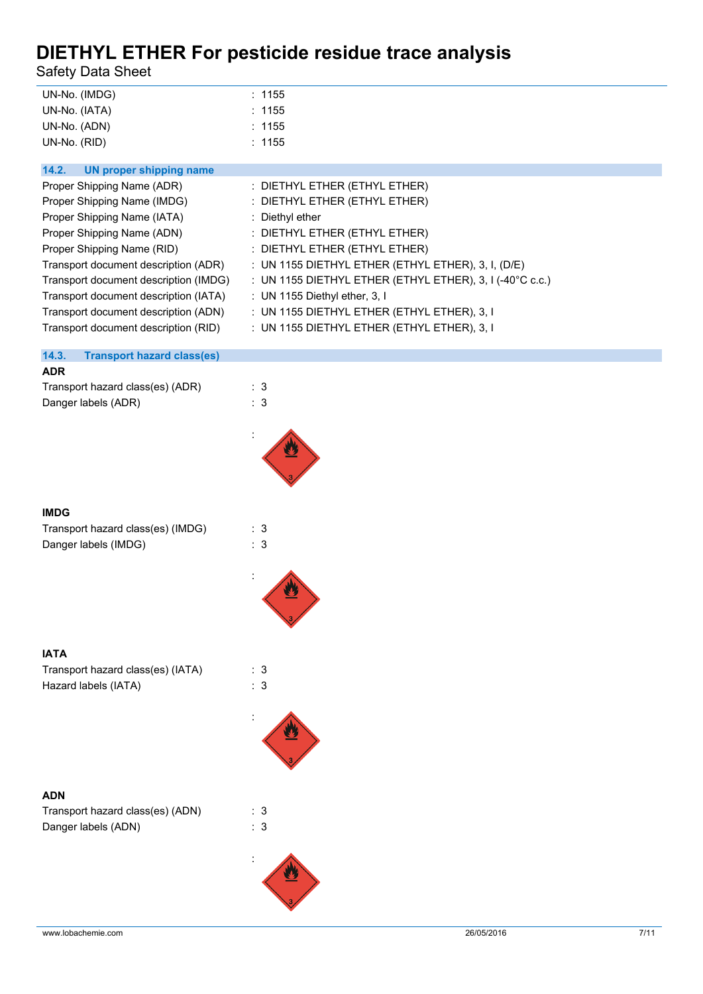Safety Data Sheet

| UN-No. (IMDG) | : 1155 |
|---------------|--------|
| UN-No. (IATA) | : 1155 |
| UN-No. (ADN)  | : 1155 |
| UN-No. (RID)  | : 1155 |

| UN proper shipping name<br>14.2.      |                                                                     |
|---------------------------------------|---------------------------------------------------------------------|
| Proper Shipping Name (ADR)            | : DIETHYL ETHER (ETHYL ETHER)                                       |
| Proper Shipping Name (IMDG)           | : DIETHYL ETHER (ETHYL ETHER)                                       |
| Proper Shipping Name (IATA)           | : Diethyl ether                                                     |
| Proper Shipping Name (ADN)            | : DIETHYL ETHER (ETHYL ETHER)                                       |
| Proper Shipping Name (RID)            | $:$ DIETHYL ETHER (ETHYL ETHER)                                     |
| Transport document description (ADR)  | : UN 1155 DIETHYL ETHER (ETHYL ETHER), 3, I, (D/E)                  |
| Transport document description (IMDG) | : UN 1155 DIETHYL ETHER (ETHYL ETHER), 3, I (-40 $^{\circ}$ C c.c.) |
| Transport document description (IATA) | : UN 1155 Diethyl ether, $3,1$                                      |
| Transport document description (ADN)  | : UN 1155 DIETHYL ETHER (ETHYL ETHER), 3, I                         |
| Transport document description (RID)  | : UN 1155 DIETHYL ETHER (ETHYL ETHER), 3, I                         |

#### **14.3. Transport hazard class(es)**

#### **ADR**

| Transport hazard class(es) (ADR) | : 3 |
|----------------------------------|-----|
| Danger labels (ADR)              | : 3 |



#### **IMDG**

| Transport hazard class(es) (IMDG) | : 3 |
|-----------------------------------|-----|
| Danger labels (IMDG)              | : 3 |



#### **IATA**

Transport hazard class(es) (IATA) : 3 Hazard labels (IATA) : 3

#### **ADN**

| Transport hazard class(es) (ADN) | : 3 |
|----------------------------------|-----|
| Danger labels (ADN)              | : 3 |



:

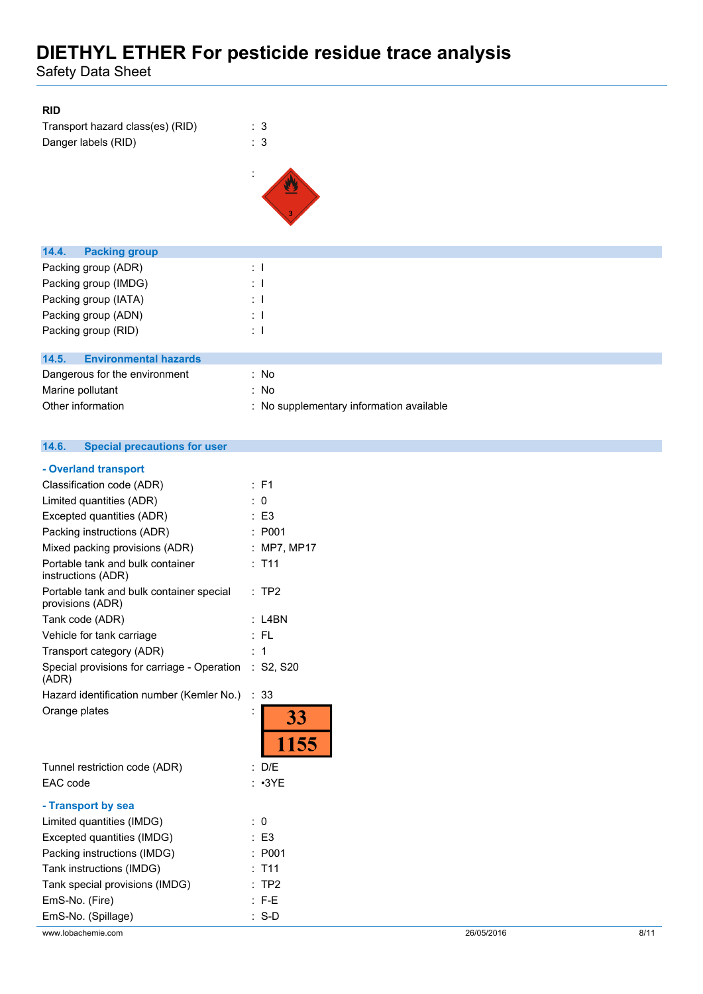Safety Data Sheet

#### **RID**

| Transport hazard class(es) (RID) | : 3 |
|----------------------------------|-----|
| Danger labels (RID)              | : 3 |



| <b>Packing group</b><br>14.4.         |                                          |
|---------------------------------------|------------------------------------------|
| Packing group (ADR)                   | $\pm$ 1                                  |
| Packing group (IMDG)                  | $\therefore$ 1                           |
| Packing group (IATA)                  | $\therefore$ 1                           |
| Packing group (ADN)                   | $\therefore$ 1                           |
| Packing group (RID)                   | $\therefore$ 1                           |
|                                       |                                          |
| <b>Environmental hazards</b><br>14.5. |                                          |
| Dangerous for the environment         | : No                                     |
| Marine pollutant                      | : No                                     |
| Other information                     | : No supplementary information available |

#### $14.6.$ **14.6. Special precautions for user**

| - Overland transport                                           |                     |            |      |
|----------------------------------------------------------------|---------------------|------------|------|
| Classification code (ADR)                                      | : F1                |            |      |
| Limited quantities (ADR)                                       | : 0                 |            |      |
| Excepted quantities (ADR)                                      | $\therefore$ E3     |            |      |
| Packing instructions (ADR)                                     | : P <sub>001</sub>  |            |      |
| Mixed packing provisions (ADR)                                 | : MP7, MP17         |            |      |
| Portable tank and bulk container<br>instructions (ADR)         | $:$ T <sub>11</sub> |            |      |
| Portable tank and bulk container special<br>provisions (ADR)   | :TP2                |            |      |
| Tank code (ADR)                                                | $:$ L4BN            |            |      |
| Vehicle for tank carriage                                      | :FL                 |            |      |
| Transport category (ADR)                                       | : 1                 |            |      |
| Special provisions for carriage - Operation : S2, S20<br>(ADR) |                     |            |      |
| Hazard identification number (Kemler No.)                      | $\therefore$ 33     |            |      |
| Orange plates                                                  | 33<br>1155          |            |      |
| Tunnel restriction code (ADR)                                  | : D/E               |            |      |
| EAC code                                                       | $: \cdot3YE$        |            |      |
| - Transport by sea                                             |                     |            |      |
| Limited quantities (IMDG)                                      | $\therefore$ 0      |            |      |
| Excepted quantities (IMDG)                                     | $\therefore$ E3     |            |      |
| Packing instructions (IMDG)                                    | : P001              |            |      |
| Tank instructions (IMDG)                                       | $:$ T <sub>11</sub> |            |      |
| Tank special provisions (IMDG)                                 | :TP2                |            |      |
| EmS-No. (Fire)                                                 | $: F-E$             |            |      |
| EmS-No. (Spillage)                                             | $: S-D$             |            |      |
| www.lobachemie.com                                             |                     | 26/05/2016 | 8/11 |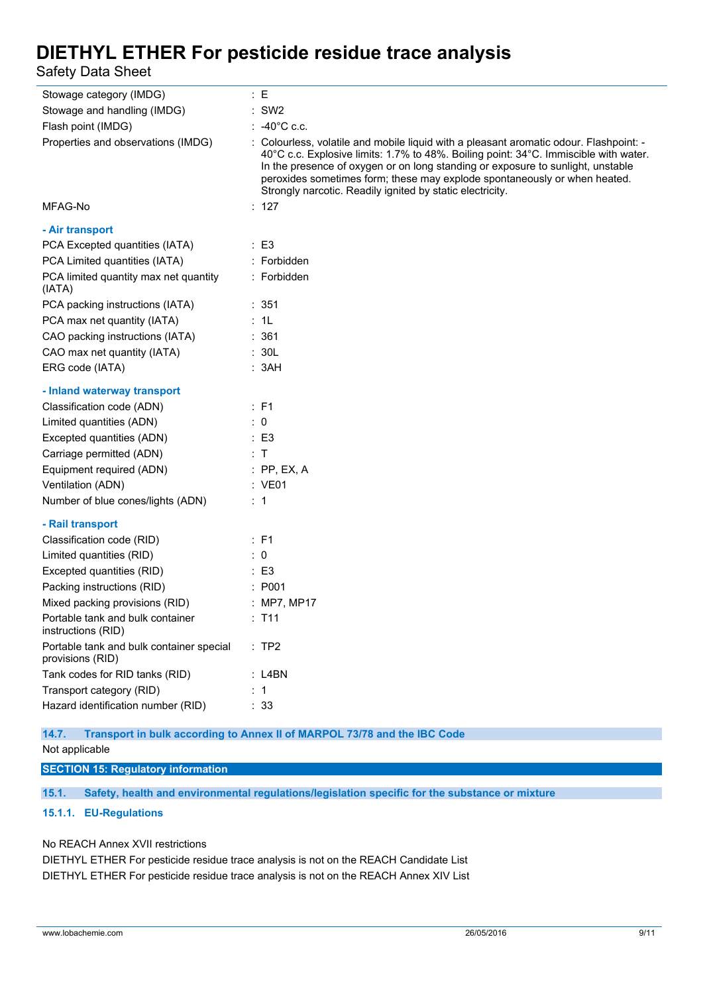Safety Data Sheet

| Stowage category (IMDG)                                      | : E                                                                                                                                                                                                                                                                                                                                                                                                         |
|--------------------------------------------------------------|-------------------------------------------------------------------------------------------------------------------------------------------------------------------------------------------------------------------------------------------------------------------------------------------------------------------------------------------------------------------------------------------------------------|
| Stowage and handling (IMDG)                                  | $:$ SW2                                                                                                                                                                                                                                                                                                                                                                                                     |
| Flash point (IMDG)                                           | $: 40^{\circ}$ C c.c.                                                                                                                                                                                                                                                                                                                                                                                       |
| Properties and observations (IMDG)                           | : Colourless, volatile and mobile liquid with a pleasant aromatic odour. Flashpoint: -<br>40°C c.c. Explosive limits: 1.7% to 48%. Boiling point: 34°C. Immiscible with water.<br>In the presence of oxygen or on long standing or exposure to sunlight, unstable<br>peroxides sometimes form; these may explode spontaneously or when heated.<br>Strongly narcotic. Readily ignited by static electricity. |
| MFAG-No                                                      | : 127                                                                                                                                                                                                                                                                                                                                                                                                       |
| - Air transport                                              |                                                                                                                                                                                                                                                                                                                                                                                                             |
| PCA Excepted quantities (IATA)                               | $\therefore$ E3                                                                                                                                                                                                                                                                                                                                                                                             |
| PCA Limited quantities (IATA)                                | : Forbidden                                                                                                                                                                                                                                                                                                                                                                                                 |
| PCA limited quantity max net quantity<br>(IATA)              | : Forbidden                                                                                                                                                                                                                                                                                                                                                                                                 |
| PCA packing instructions (IATA)                              | : 351                                                                                                                                                                                                                                                                                                                                                                                                       |
| PCA max net quantity (IATA)                                  | : 1L                                                                                                                                                                                                                                                                                                                                                                                                        |
| CAO packing instructions (IATA)                              | : 361                                                                                                                                                                                                                                                                                                                                                                                                       |
| CAO max net quantity (IATA)                                  | : 30L                                                                                                                                                                                                                                                                                                                                                                                                       |
| ERG code (IATA)                                              | : 3AH                                                                                                                                                                                                                                                                                                                                                                                                       |
| - Inland waterway transport                                  |                                                                                                                                                                                                                                                                                                                                                                                                             |
| Classification code (ADN)                                    | : F1                                                                                                                                                                                                                                                                                                                                                                                                        |
| Limited quantities (ADN)                                     | $\therefore$ 0                                                                                                                                                                                                                                                                                                                                                                                              |
| Excepted quantities (ADN)                                    | $\therefore$ E3                                                                                                                                                                                                                                                                                                                                                                                             |
| Carriage permitted (ADN)                                     | $\therefore$ T                                                                                                                                                                                                                                                                                                                                                                                              |
| Equipment required (ADN)                                     | $:$ PP, EX, A                                                                                                                                                                                                                                                                                                                                                                                               |
| Ventilation (ADN)                                            | : VE01                                                                                                                                                                                                                                                                                                                                                                                                      |
| Number of blue cones/lights (ADN)                            | $\therefore$ 1                                                                                                                                                                                                                                                                                                                                                                                              |
| - Rail transport                                             |                                                                                                                                                                                                                                                                                                                                                                                                             |
| Classification code (RID)                                    | $\therefore$ F1                                                                                                                                                                                                                                                                                                                                                                                             |
| Limited quantities (RID)                                     | : 0                                                                                                                                                                                                                                                                                                                                                                                                         |
| Excepted quantities (RID)                                    | $\therefore$ E3                                                                                                                                                                                                                                                                                                                                                                                             |
| Packing instructions (RID)                                   | : P001                                                                                                                                                                                                                                                                                                                                                                                                      |
| Mixed packing provisions (RID)                               | : MP7, MP17                                                                                                                                                                                                                                                                                                                                                                                                 |
| Portable tank and bulk container<br>instructions (RID)       | : T11                                                                                                                                                                                                                                                                                                                                                                                                       |
| Portable tank and bulk container special<br>provisions (RID) | :TP2                                                                                                                                                                                                                                                                                                                                                                                                        |
| Tank codes for RID tanks (RID)                               | : L4BN                                                                                                                                                                                                                                                                                                                                                                                                      |
| Transport category (RID)                                     | $\therefore$ 1                                                                                                                                                                                                                                                                                                                                                                                              |
| Hazard identification number (RID)                           | : 33                                                                                                                                                                                                                                                                                                                                                                                                        |

**14.7. Transport in bulk according to Annex II of MARPOL 73/78 and the IBC Code**

Not applicable

**SECTION 15: Regulatory information**

**15.1. Safety, health and environmental regulations/legislation specific for the substance or mixture**

#### **15.1.1. EU-Regulations**

No REACH Annex XVII restrictions

DIETHYL ETHER For pesticide residue trace analysis is not on the REACH Candidate List DIETHYL ETHER For pesticide residue trace analysis is not on the REACH Annex XIV List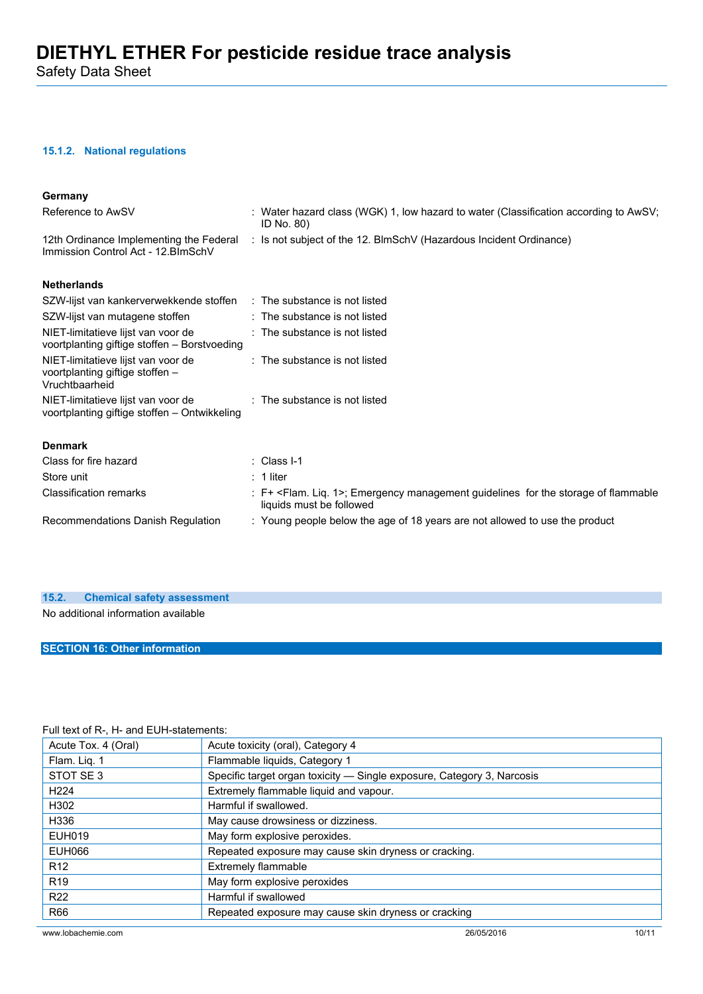#### **15.1.2. National regulations**

| Germany                                                                                 |                                                                                                                              |
|-----------------------------------------------------------------------------------------|------------------------------------------------------------------------------------------------------------------------------|
| Reference to AwSV                                                                       | : Water hazard class (WGK) 1, low hazard to water (Classification according to AwSV;<br>ID No. 80)                           |
| Immission Control Act - 12. BlmSchV                                                     | 12th Ordinance Implementing the Federal : Is not subject of the 12. BlmSchV (Hazardous Incident Ordinance)                   |
| <b>Netherlands</b>                                                                      |                                                                                                                              |
| SZW-lijst van kankerverwekkende stoffen : The substance is not listed                   |                                                                                                                              |
| SZW-lijst van mutagene stoffen                                                          | $\therefore$ The substance is not listed                                                                                     |
| NIET-limitatieve lijst van voor de<br>voortplanting giftige stoffen - Borstvoeding      | : The substance is not listed                                                                                                |
| NIET-limitatieve lijst van voor de<br>voortplanting giftige stoffen -<br>Vruchtbaarheid | : The substance is not listed                                                                                                |
| NIET-limitatieve lijst van voor de<br>voortplanting giftige stoffen - Ontwikkeling      | : The substance is not listed                                                                                                |
| <b>Denmark</b>                                                                          |                                                                                                                              |
| Class for fire hazard                                                                   | $\therefore$ Class I-1                                                                                                       |
| Store unit                                                                              | $: 1$ liter                                                                                                                  |
| <b>Classification remarks</b>                                                           | : F+ <flam. 1="" liq.="">; Emergency management guidelines for the storage of flammable<br/>liquids must be followed</flam.> |
| Recommendations Danish Regulation                                                       | : Young people below the age of 18 years are not allowed to use the product                                                  |

#### **15.2. Chemical safety assessment**

No additional information available

#### **SECTION 16: Other information**

#### Full text of R-, H- and EUH-statements:

| Acute Tox. 4 (Oral) | Acute toxicity (oral), Category 4                                      |  |  |
|---------------------|------------------------------------------------------------------------|--|--|
| Flam. Liq. 1        | Flammable liquids, Category 1                                          |  |  |
| STOT SE3            | Specific target organ toxicity - Single exposure, Category 3, Narcosis |  |  |
| H <sub>224</sub>    | Extremely flammable liquid and vapour.                                 |  |  |
| H302                | Harmful if swallowed.                                                  |  |  |
| H336                | May cause drowsiness or dizziness.                                     |  |  |
| EUH019              | May form explosive peroxides.                                          |  |  |
| <b>EUH066</b>       | Repeated exposure may cause skin dryness or cracking.                  |  |  |
| R <sub>12</sub>     | <b>Extremely flammable</b>                                             |  |  |
| R <sub>19</sub>     | May form explosive peroxides                                           |  |  |
| <b>R22</b>          | Harmful if swallowed                                                   |  |  |
| R66                 | Repeated exposure may cause skin dryness or cracking                   |  |  |
| www.lobachemie.com  | 26/05/2016<br>10/11                                                    |  |  |